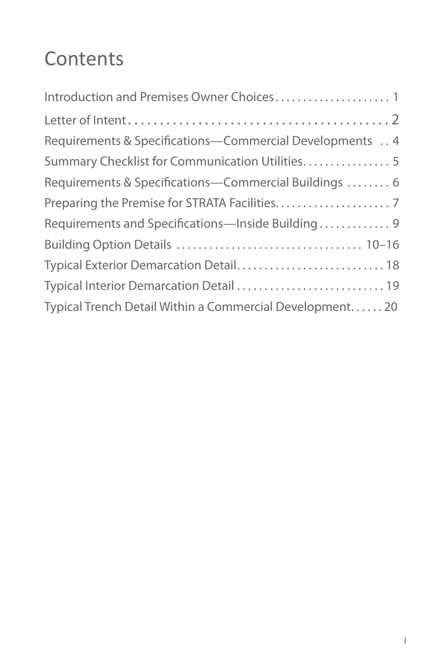#### **Contents**

| Requirements & Specifications-Commercial Developments 4 |
|---------------------------------------------------------|
| Summary Checklist for Communication Utilities 5         |
| Requirements & Specifications-Commercial Buildings  6   |
|                                                         |
| Requirements and Specifications-Inside Building 9       |
|                                                         |
| Typical Exterior Demarcation Detail 18                  |
| Typical Interior Demarcation Detail  19                 |
| Typical Trench Detail Within a Commercial Development20 |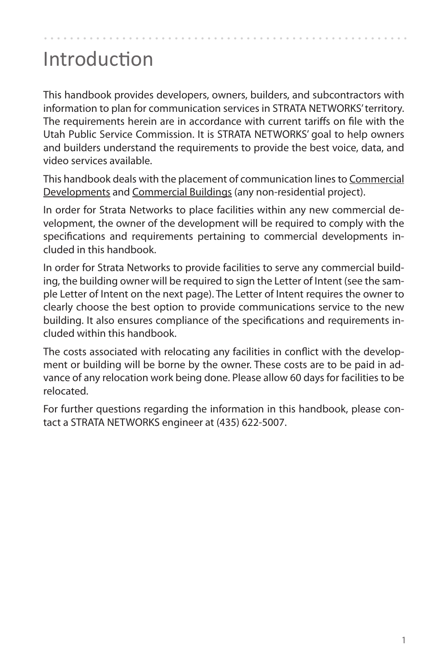### Introduction

This handbook provides developers, owners, builders, and subcontractors with information to plan for communication services in STRATA NETWORKS' territory. The requirements herein are in accordance with current tariffs on file with the Utah Public Service Commission. It is STRATA NETWORKS' goal to help owners and builders understand the requirements to provide the best voice, data, and video services available.

This handbook deals with the placement of communication lines to Commercial Developments and Commercial Buildings (any non-residential project).

In order for Strata Networks to place facilities within any new commercial development, the owner of the development will be required to comply with the specifications and requirements pertaining to commercial developments included in this handbook.

In order for Strata Networks to provide facilities to serve any commercial building, the building owner will be required to sign the Letter of Intent (see the sample Letter of Intent on the next page). The Letter of Intent requires the owner to clearly choose the best option to provide communications service to the new building. It also ensures compliance of the specifications and requirements included within this handbook.

The costs associated with relocating any facilities in conflict with the development or building will be borne by the owner. These costs are to be paid in advance of any relocation work being done. Please allow 60 days for facilities to be relocated.

For further questions regarding the information in this handbook, please contact a STRATA NETWORKS engineer at (435) 622‐5007.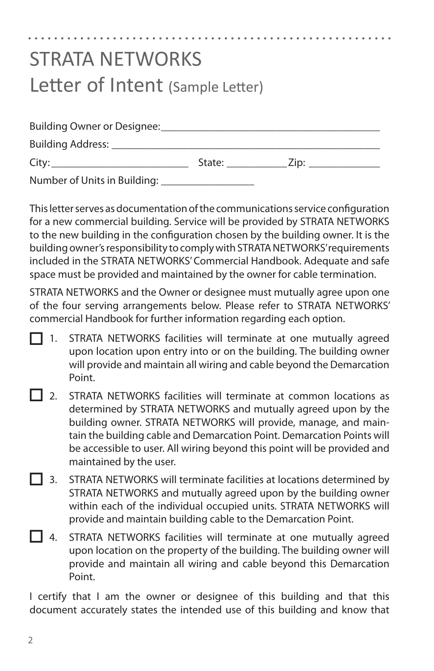## STRATA NETWORKS Letter of Intent (Sample Letter) Building Owner or Designee:

| DUINING OWNER OF DESIGNES.   |        |      |  |
|------------------------------|--------|------|--|
| Building Address: _          |        |      |  |
| City:                        | State: | Zip: |  |
| Number of Units in Building: |        |      |  |

This letter serves as documentation of the communications service configuration for a new commercial building. Service will be provided by STRATA NETWORKS to the new building in the configuration chosen by the building owner. It is the building owner's responsibility to comply with STRATA NETWORKS' requirements included in the STRATA NETWORKS' Commercial Handbook. Adequate and safe space must be provided and maintained by the owner for cable termination.

STRATA NETWORKS and the Owner or designee must mutually agree upon one of the four serving arrangements below. Please refer to STRATA NETWORKS' commercial Handbook for further information regarding each option.

- STRATA NETWORKS facilities will terminate at one mutually agreed upon location upon entry into or on the building. The building owner will provide and maintain all wiring and cable beyond the Demarcation Point. T 1.
- 2. STRATA NETWORKS facilities will terminate at common locations as determined by STRATA NETWORKS and mutually agreed upon by the building owner. STRATA NETWORKS will provide, manage, and maintain the building cable and Demarcation Point. Demarcation Points will be accessible to user. All wiring beyond this point will be provided and maintained by the user.  $\vert$  2.
- 3. STRATA NETWORKS will terminate facilities at locations determined by STRATA NETWORKS and mutually agreed upon by the building owner within each of the individual occupied units. STRATA NETWORKS will provide and maintain building cable to the Demarcation Point.  $\overline{1}$  3.
- STRATA NETWORKS facilities will terminate at one mutually agreed upon location on the property of the building. The building owner will provide and maintain all wiring and cable beyond this Demarcation Point. **1** 4

I certify that I am the owner or designee of this building and that this document accurately states the intended use of this building and know that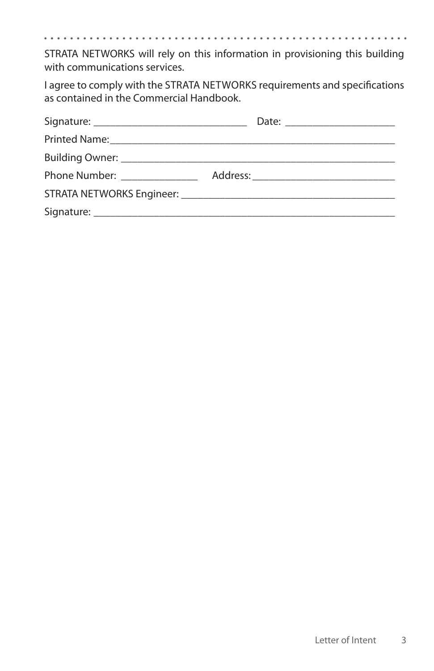. . . 

STRATA NETWORKS will rely on this information in provisioning this building with communications services.

I agree to comply with the STRATA NETWORKS requirements and specifications as contained in the Commercial Handbook.

| Phone Number: _______________ |  |
|-------------------------------|--|
|                               |  |
|                               |  |
|                               |  |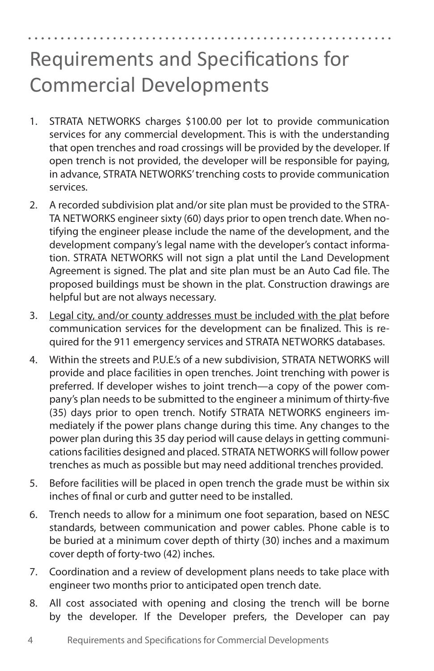### Requirements and Specifications for Commercial Developments

- 1. STRATA NETWORKS charges \$100.00 per lot to provide communication services for any commercial development. This is with the understanding that open trenches and road crossings will be provided by the developer. If open trench is not provided, the developer will be responsible for paying, in advance, STRATA NETWORKS' trenching costs to provide communication services.
- 2. A recorded subdivision plat and/or site plan must be provided to the STRA-TA NETWORKS engineer sixty (60) days prior to open trench date. When notifying the engineer please include the name of the development, and the development company's legal name with the developer's contact information. STRATA NETWORKS will not sign a plat until the Land Development Agreement is signed. The plat and site plan must be an Auto Cad file. The proposed buildings must be shown in the plat. Construction drawings are helpful but are not always necessary.
- 3. Legal city, and/or county addresses must be included with the plat before communication services for the development can be finalized. This is required for the 911 emergency services and STRATA NETWORKS databases.
- 4. Within the streets and P.U.E.'s of a new subdivision, STRATA NETWORKS will provide and place facilities in open trenches. Joint trenching with power is preferred. If developer wishes to joint trench—a copy of the power company's plan needs to be submitted to the engineer a minimum of thirty‐five (35) days prior to open trench. Notify STRATA NETWORKS engineers immediately if the power plans change during this time. Any changes to the power plan during this 35 day period will cause delays in getting communications facilities designed and placed. STRATA NETWORKS will follow power trenches as much as possible but may need additional trenches provided.
- 5. Before facilities will be placed in open trench the grade must be within six inches of final or curb and gutter need to be installed.
- 6. Trench needs to allow for a minimum one foot separation, based on NESC standards, between communication and power cables. Phone cable is to be buried at a minimum cover depth of thirty (30) inches and a maximum cover depth of forty-two (42) inches.
- 7. Coordination and a review of development plans needs to take place with engineer two months prior to anticipated open trench date.
- 8. All cost associated with opening and closing the trench will be borne by the developer. If the Developer prefers, the Developer can pay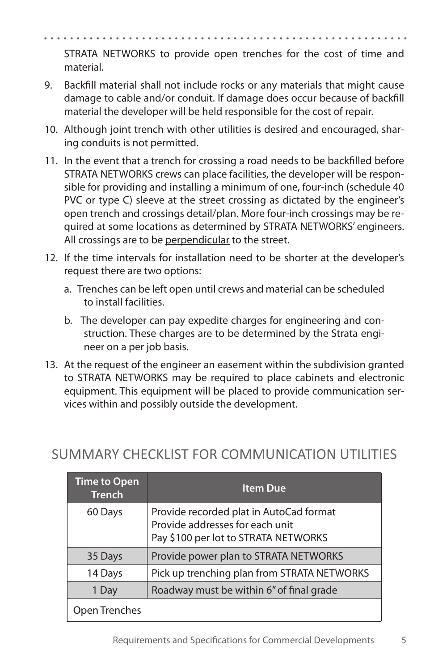STRATA NETWORKS to provide open trenches for the cost of time and material.

- 9. Backfill material shall not include rocks or any materials that might cause damage to cable and/or conduit. If damage does occur because of backfill material the developer will be held responsible for the cost of repair.
- 10. Although joint trench with other utilities is desired and encouraged, sharing conduits is not permitted.
- 11. In the event that a trench for crossing a road needs to be backfilled before STRATA NETWORKS crews can place facilities, the developer will be responsible for providing and installing a minimum of one, four-inch (schedule 40 PVC or type C) sleeve at the street crossing as dictated by the engineer's open trench and crossings detail/plan. More four-inch crossings may be required at some locations as determined by STRATA NETWORKS' engineers. All crossings are to be perpendicular to the street.
- 12. If the time intervals for installation need to be shorter at the developer's request there are two options:
	- a. Trenches can be left open until crews and material can be scheduled to install facilities.
	- b. The developer can pay expedite charges for engineering and construction. These charges are to be determined by the Strata engineer on a per job basis.
- 13. At the request of the engineer an easement within the subdivision granted to STRATA NETWORKS may be required to place cabinets and electronic equipment. This equipment will be placed to provide communication services within and possibly outside the development.

| <b>Time to Open</b><br><b>Trench</b> | <b>Item Due</b>                                                                                                    |
|--------------------------------------|--------------------------------------------------------------------------------------------------------------------|
| 60 Days                              | Provide recorded plat in AutoCad format<br>Provide addresses for each unit<br>Pay \$100 per lot to STRATA NETWORKS |
| 35 Days                              | Provide power plan to STRATA NETWORKS                                                                              |
| 14 Days                              | Pick up trenching plan from STRATA NETWORKS                                                                        |
| 1 Day                                | Roadway must be within 6" of final grade                                                                           |
| Open Trenches                        |                                                                                                                    |

#### SUMMARY CHECKLIST FOR COMMUNICATION UTILITIES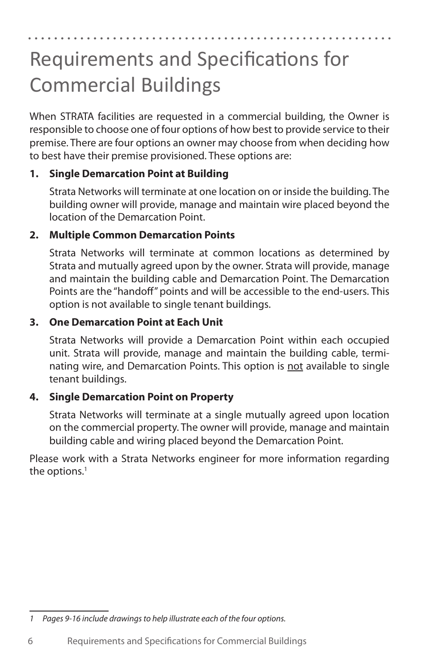### Requirements and Specifications for Commercial Buildings

When STRATA facilities are requested in a commercial building, the Owner is responsible to choose one of four options of how best to provide service to their premise. There are four options an owner may choose from when deciding how to best have their premise provisioned. These options are:

#### **1. Single Demarcation Point at Building**

Strata Networks will terminate at one location on or inside the building. The building owner will provide, manage and maintain wire placed beyond the location of the Demarcation Point.

#### **2. Multiple Common Demarcation Points**

Strata Networks will terminate at common locations as determined by Strata and mutually agreed upon by the owner. Strata will provide, manage and maintain the building cable and Demarcation Point. The Demarcation Points are the "handoff" points and will be accessible to the end‐users. This option is not available to single tenant buildings.

#### **3. One Demarcation Point at Each Unit**

Strata Networks will provide a Demarcation Point within each occupied unit. Strata will provide, manage and maintain the building cable, terminating wire, and Demarcation Points. This option is not available to single tenant buildings.

#### **4. Single Demarcation Point on Property**

Strata Networks will terminate at a single mutually agreed upon location on the commercial property. The owner will provide, manage and maintain building cable and wiring placed beyond the Demarcation Point.

Please work with a Strata Networks engineer for more information regarding the options. 1

*<sup>1</sup> Pages 9‐16 include drawings to help illustrate each of the four options.*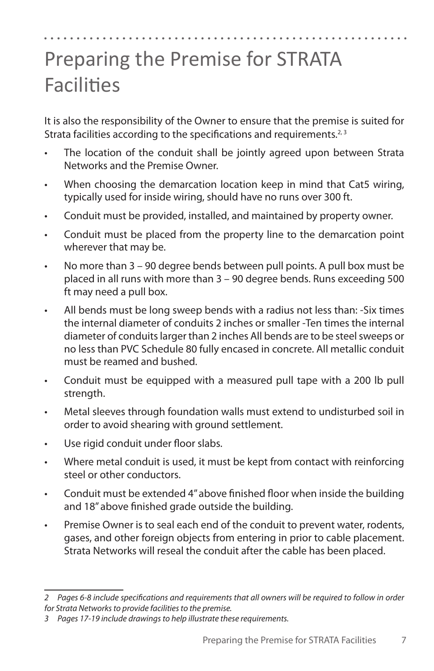### Preparing the Premise for STRATA **Facilities**

It is also the responsibility of the Owner to ensure that the premise is suited for Strata facilities according to the specifications and requirements.<sup>2, 3</sup>

- The location of the conduit shall be jointly agreed upon between Strata Networks and the Premise Owner.
- When choosing the demarcation location keep in mind that Cat5 wiring, typically used for inside wiring, should have no runs over 300 ft.
- • Conduit must be provided, installed, and maintained by property owner.
- Conduit must be placed from the property line to the demarcation point wherever that may be.
- • No more than 3 90 degree bends between pull points. A pull box must be placed in all runs with more than 3 – 90 degree bends. Runs exceeding 500 ft may need a pull box.
- All bends must be long sweep bends with a radius not less than: -Six times the internal diameter of conduits 2 inches or smaller ‐Ten times the internal diameter of conduits larger than 2 inches All bends are to be steel sweeps or no less than PVC Schedule 80 fully encased in concrete. All metallic conduit must be reamed and bushed.
- • Conduit must be equipped with a measured pull tape with a 200 lb pull strength.
- • Metal sleeves through foundation walls must extend to undisturbed soil in order to avoid shearing with ground settlement.
- • Use rigid conduit under floor slabs.
- • Where metal conduit is used, it must be kept from contact with reinforcing steel or other conductors.
- Conduit must be extended 4" above finished floor when inside the building and 18" above finished grade outside the building.
- Premise Owner is to seal each end of the conduit to prevent water, rodents, gases, and other foreign objects from entering in prior to cable placement. Strata Networks will reseal the conduit after the cable has been placed.

*<sup>2</sup> Pages 6‐8 include specifications and requirements that all owners will be required to follow in order for Strata Networks to provide facilities to the premise.* 

*<sup>3</sup> Pages 17‐19 include drawings to help illustrate these requirements.*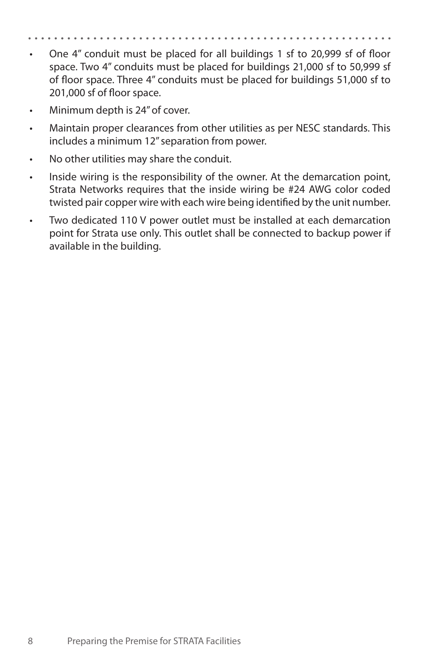- One 4" conduit must be placed for all buildings 1 sf to 20,999 sf of floor space. Two 4" conduits must be placed for buildings 21,000 sf to 50,999 sf of floor space. Three 4" conduits must be placed for buildings 51,000 sf to 201,000 sf of floor space.
- Minimum depth is 24" of cover.
- Maintain proper clearances from other utilities as per NESC standards. This includes a minimum 12" separation from power.
- No other utilities may share the conduit.
- Inside wiring is the responsibility of the owner. At the demarcation point, Strata Networks requires that the inside wiring be #24 AWG color coded twisted pair copper wire with each wire being identified by the unit number.
- • Two dedicated 110 V power outlet must be installed at each demarcation point for Strata use only. This outlet shall be connected to backup power if available in the building.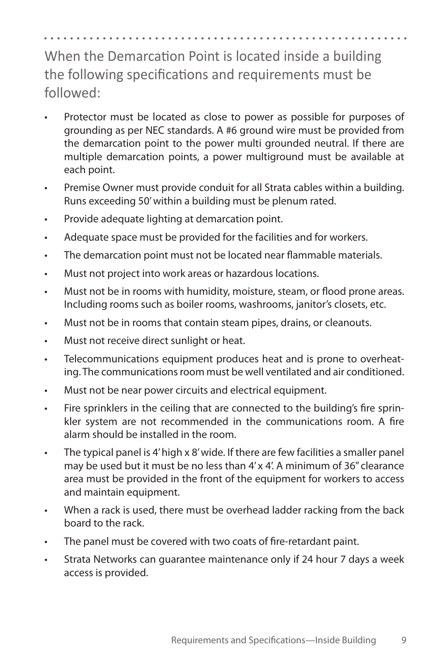When the Demarcation Point is located inside a building the following specifications and requirements must be followed:

- Protector must be located as close to power as possible for purposes of grounding as per NEC standards. A #6 ground wire must be provided from the demarcation point to the power multi grounded neutral. If there are multiple demarcation points, a power multiground must be available at each point.
- • Premise Owner must provide conduit for all Strata cables within a building. Runs exceeding 50' within a building must be plenum rated.
- • Provide adequate lighting at demarcation point.
- • Adequate space must be provided for the facilities and for workers.
- • The demarcation point must not be located near flammable materials.
- • Must not project into work areas or hazardous locations.
- • Must not be in rooms with humidity, moisture, steam, or flood prone areas. Including rooms such as boiler rooms, washrooms, janitor's closets, etc.
- Must not be in rooms that contain steam pipes, drains, or cleanouts.
- • Must not receive direct sunlight or heat.
- • Telecommunications equipment produces heat and is prone to overheating. The communications room must be well ventilated and air conditioned.
- • Must not be near power circuits and electrical equipment.
- • Fire sprinklers in the ceiling that are connected to the building's fire sprinkler system are not recommended in the communications room. A fire alarm should be installed in the room.
- • The typical panel is 4' high x 8' wide. If there are few facilities a smaller panel may be used but it must be no less than 4' x 4'. A minimum of 36" clearance area must be provided in the front of the equipment for workers to access and maintain equipment.
- When a rack is used, there must be overhead ladder racking from the back board to the rack.
- The panel must be covered with two coats of fire-retardant paint.
- • Strata Networks can guarantee maintenance only if 24 hour 7 days a week access is provided.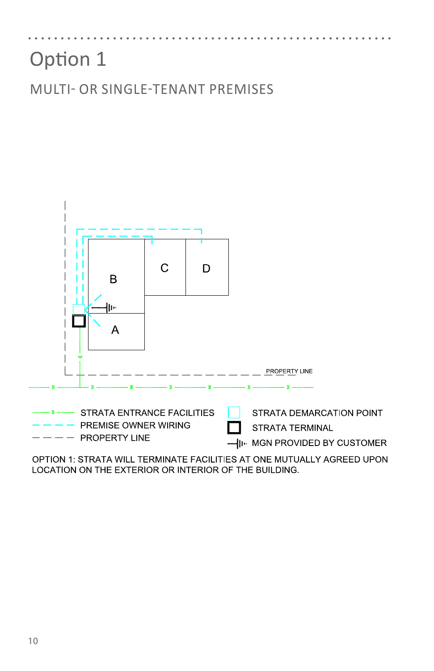MULTI- OR SINGLE-TENANT PREMISES



OPTION 1: STRATA WILL TERMINATE FACILITIES AT ONE MUTUALLY AGREED UPON LOCATION ON THE EXTERIOR OR INTERIOR OF THE BUILDING.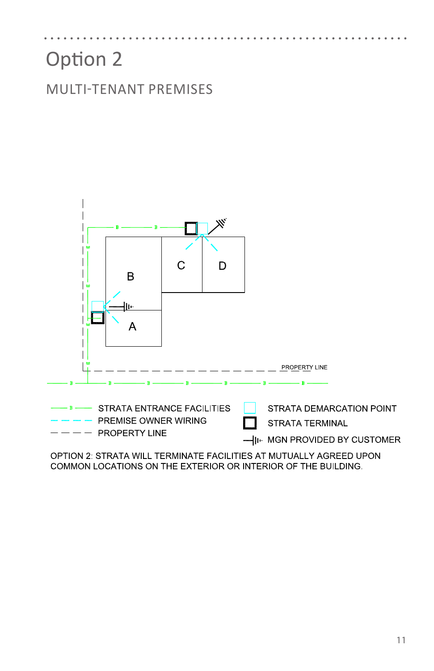MULTI-TENANT PREMISES



OPTION 2: STRATA WILL TERMINATE FACILITIES AT MUTUALLY AGREED UPON COMMON LOCATIONS ON THE EXTERIOR OR INTERIOR OF THE BUILDING.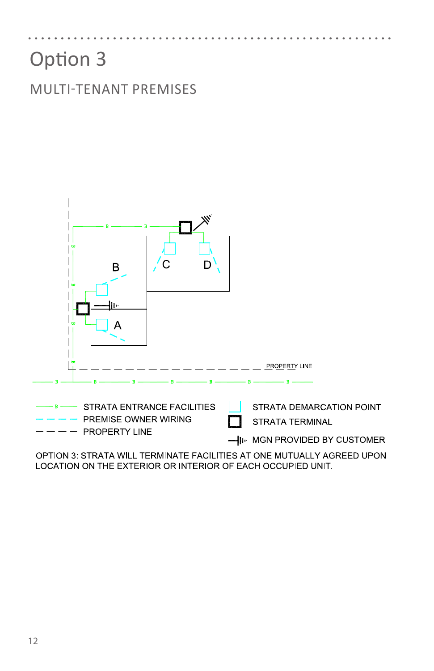#### MULTI-TENANT PREMISES



OPTION 3: STRATA WILL TERMINATE FACILITIES AT ONE MUTUALLY AGREED UPON LOCATION ON THE EXTERIOR OR INTERIOR OF EACH OCCUPIED UNIT.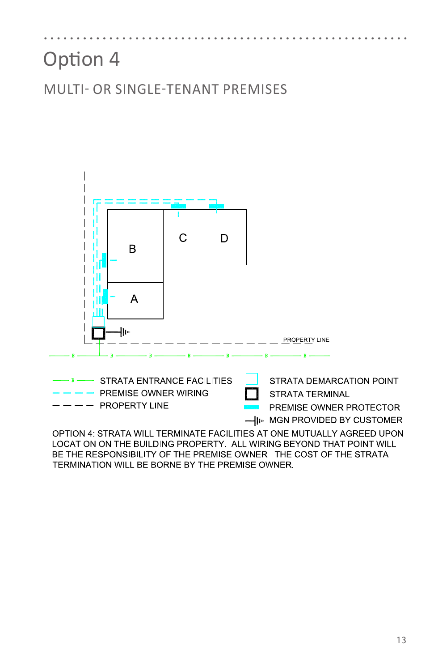#### MULTI- OR SINGLE-TENANT PREMISES



LOCATION ON THE BUILDING PROPERTY. ALL WIRING BEYOND THAT POINT WILL BE THE RESPONSIBILITY OF THE PREMISE OWNER. THE COST OF THE STRATA TERMINATION WILL BE BORNE BY THE PREMISE OWNER.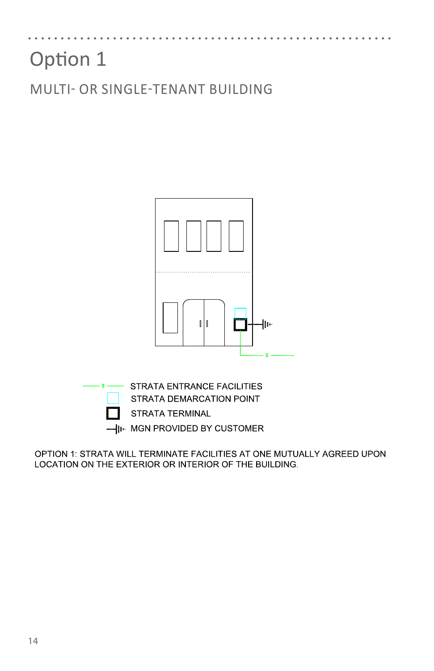MULTI- OR SINGLE-TENANT BUILDING



OPTION 1: STRATA WILL TERMINATE FACILITIES AT ONE MUTUALLY AGREED UPON LOCATION ON THE EXTERIOR OR INTERIOR OF THE BUILDING.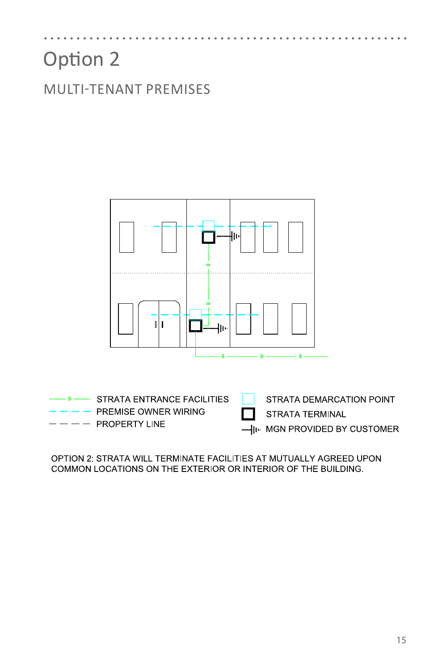MULTI-TENANT PREMISES



OPTION 2: STRATA WILL TERMINATE FACILITIES AT MUTUALLY AGREED UPON COMMON LOCATIONS ON THE EXTERIOR OR INTERIOR OF THE BUILDING.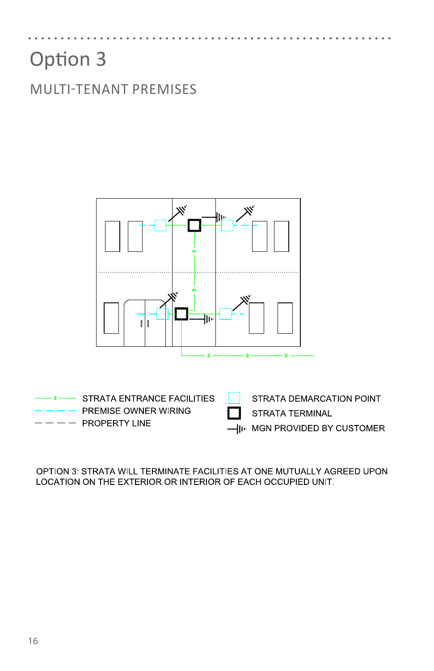MULTI-TENANT PREMISES



OPTION 3: STRATA WILL TERMINATE FACILITIES AT ONE MUTUALLY AGREED UPON LOCATION ON THE EXTERIOR OR INTERIOR OF EACH OCCUPIED UNIT.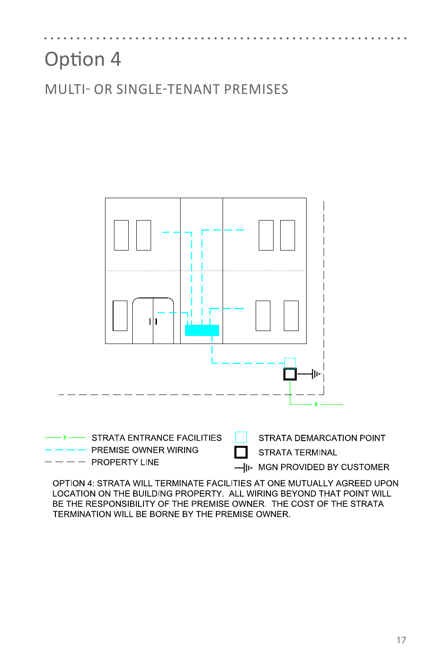MULTI- OR SINGLE-TENANT PREMISES



OPTION 4: STRATA WILL TERMINATE FACILITIES AT ONE MUTUALLY AGREED UPON LOCATION ON THE BUILDING PROPERTY. ALL WIRING BEYOND THAT POINT WILL BE THE RESPONSIBILITY OF THE PREMISE OWNER. THE COST OF THE STRATA TERMINATION WILL BE BORNE BY THE PREMISE OWNER.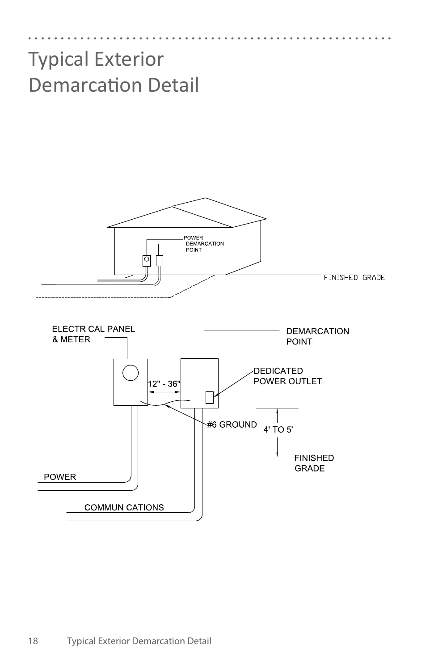### Typical Exterior Demarcation Detail

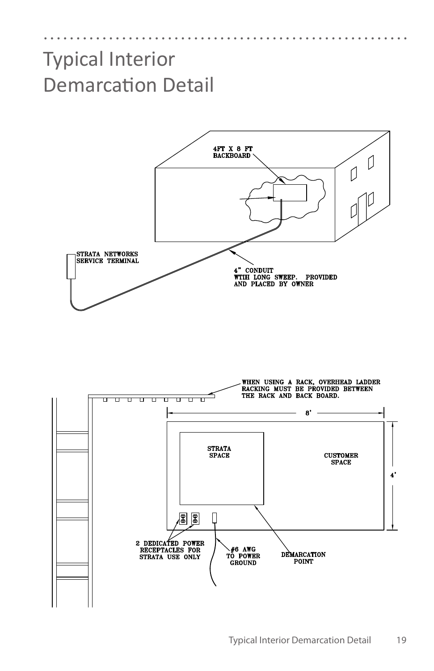### Typical Interior Demarcation Detail



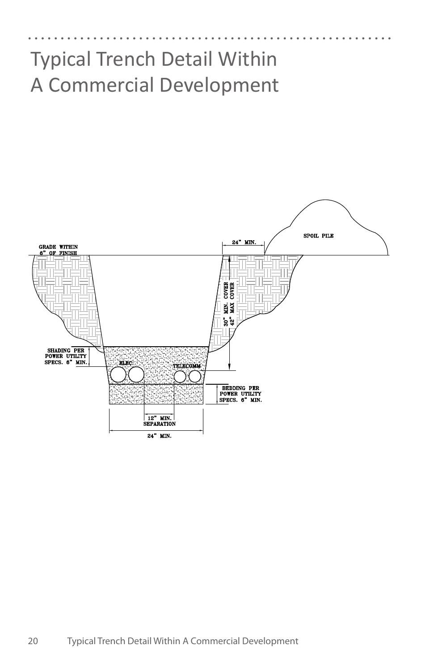### Typical Trench Detail Within A Commercial Development